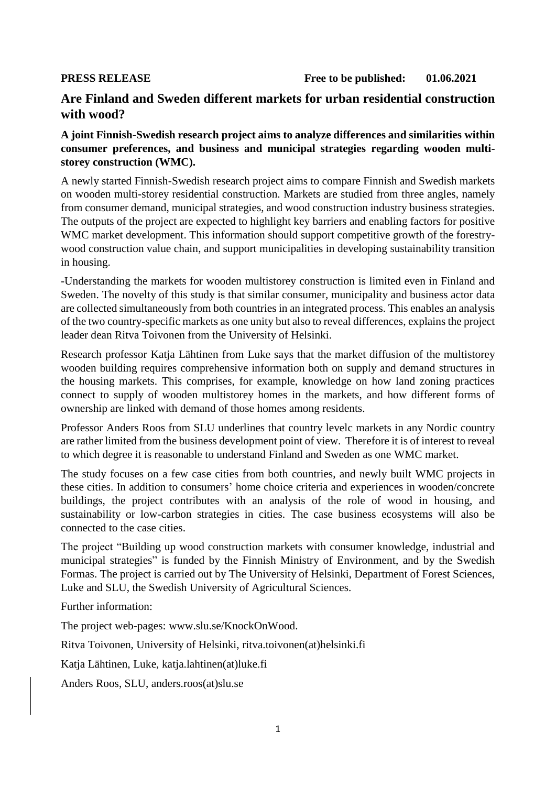**PRESS RELEASE Free to be published: 01.06.2021** 

## **Are Finland and Sweden different markets for urban residential construction with wood?**

## **A joint Finnish-Swedish research project aims to analyze differences and similarities within consumer preferences, and business and municipal strategies regarding wooden multistorey construction (WMC).**

A newly started Finnish-Swedish research project aims to compare Finnish and Swedish markets on wooden multi-storey residential construction. Markets are studied from three angles, namely from consumer demand, municipal strategies, and wood construction industry business strategies. The outputs of the project are expected to highlight key barriers and enabling factors for positive WMC market development. This information should support competitive growth of the forestrywood construction value chain, and support municipalities in developing sustainability transition in housing.

-Understanding the markets for wooden multistorey construction is limited even in Finland and Sweden. The novelty of this study is that similar consumer, municipality and business actor data are collected simultaneously from both countries in an integrated process. This enables an analysis of the two country-specific markets as one unity but also to reveal differences, explains the project leader dean Ritva Toivonen from the University of Helsinki.

Research professor Katja Lähtinen from Luke says that the market diffusion of the multistorey wooden building requires comprehensive information both on supply and demand structures in the housing markets. This comprises, for example, knowledge on how land zoning practices connect to supply of wooden multistorey homes in the markets, and how different forms of ownership are linked with demand of those homes among residents.

Professor Anders Roos from SLU underlines that country levelc markets in any Nordic country are rather limited from the business development point of view. Therefore it is of interest to reveal to which degree it is reasonable to understand Finland and Sweden as one WMC market.

The study focuses on a few case cities from both countries, and newly built WMC projects in these cities. In addition to consumers' home choice criteria and experiences in wooden/concrete buildings, the project contributes with an analysis of the role of wood in housing, and sustainability or low-carbon strategies in cities. The case business ecosystems will also be connected to the case cities.

The project "Building up wood construction markets with consumer knowledge, industrial and municipal strategies" is funded by the Finnish Ministry of Environment, and by the Swedish Formas. The project is carried out by The University of Helsinki, Department of Forest Sciences, Luke and SLU, the Swedish University of Agricultural Sciences.

Further information:

The project web-pages: www.slu.se/KnockOnWood.

Ritva Toivonen, University of Helsinki, ritva.toivonen(at)helsinki.fi

Katja Lähtinen, Luke, katja.lahtinen(at)luke.fi

Anders Roos, SLU, anders.roos(at)slu.se